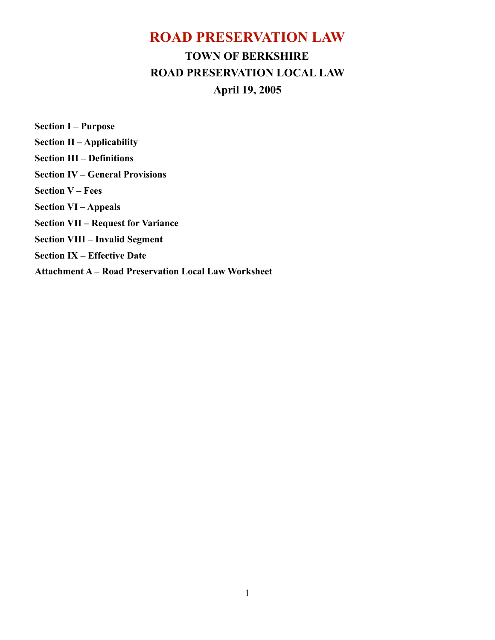# **ROAD PRESERVATION LAW TOWN OF BERKSHIRE ROAD PRESERVATION LOCAL LAW April 19, 2005**

**Section I – Purpose Section II – Applicability Section III – Definitions Section IV – General Provisions Section V – Fees Section VI – Appeals Section VII – Request for Variance Section VIII – Invalid Segment Section IX – Effective Date Attachment A – Road Preservation Local Law Worksheet**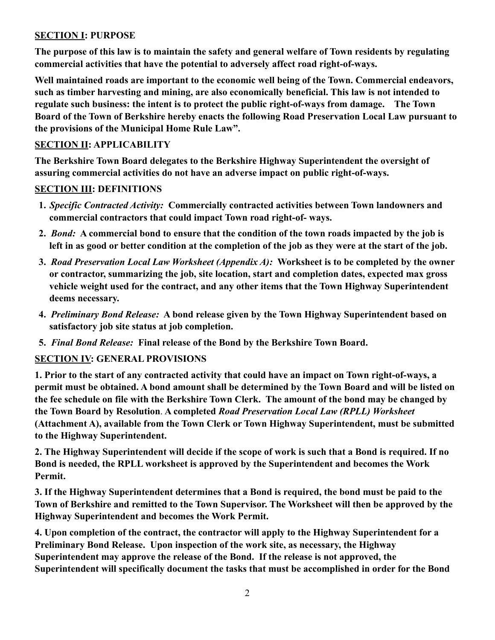# **SECTION I: PURPOSE**

**The purpose of this law is to maintain the safety and general welfare of Town residents by regulating commercial activities that have the potential to adversely affect road right-of-ways.**

**Well maintained roads are important to the economic well being of the Town. Commercial endeavors, such as timber harvesting and mining, are also economically beneficial. This law is not intended to regulate such business: the intent is to protect the public right-of-ways from damage. The Town Board of the Town of Berkshire hereby enacts the following Road Preservation Local Law pursuant to the provisions of the Municipal Home Rule Law".** 

# **SECTION II: APPLICABILITY**

**The Berkshire Town Board delegates to the Berkshire Highway Superintendent the oversight of assuring commercial activities do not have an adverse impact on public right-of-ways.** 

# **SECTION III: DEFINITIONS**

- **1.** *Specific Contracted Activity:* **Commercially contracted activities between Town landowners and commercial contractors that could impact Town road right-of- ways.**
- **2.** *Bond:* **A commercial bond to ensure that the condition of the town roads impacted by the job is left in as good or better condition at the completion of the job as they were at the start of the job.**
- **3.** *Road Preservation Local Law Worksheet (Appendix A):* **Worksheet is to be completed by the owner or contractor, summarizing the job, site location, start and completion dates, expected max gross vehicle weight used for the contract, and any other items that the Town Highway Superintendent deems necessary.**
- **4.** *Preliminary Bond Release:* **A bond release given by the Town Highway Superintendent based on satisfactory job site status at job completion.**
- **5.** *Final Bond Release:* **Final release of the Bond by the Berkshire Town Board.**

## **SECTION IV: GENERAL PROVISIONS**

**1. Prior to the start of any contracted activity that could have an impact on Town right-of-ways, a permit must be obtained. A bond amount shall be determined by the Town Board and will be listed on the fee schedule on file with the Berkshire Town Clerk. The amount of the bond may be changed by the Town Board by Resolution**. **A completed** *Road Preservation Local Law (RPLL) Worksheet* **(Attachment A), available from the Town Clerk or Town Highway Superintendent, must be submitted to the Highway Superintendent.** 

**2. The Highway Superintendent will decide if the scope of work is such that a Bond is required. If no Bond is needed, the RPLL worksheet is approved by the Superintendent and becomes the Work Permit.** 

**3. If the Highway Superintendent determines that a Bond is required, the bond must be paid to the Town of Berkshire and remitted to the Town Supervisor. The Worksheet will then be approved by the Highway Superintendent and becomes the Work Permit.** 

**4. Upon completion of the contract, the contractor will apply to the Highway Superintendent for a Preliminary Bond Release. Upon inspection of the work site, as necessary, the Highway Superintendent may approve the release of the Bond. If the release is not approved, the Superintendent will specifically document the tasks that must be accomplished in order for the Bond**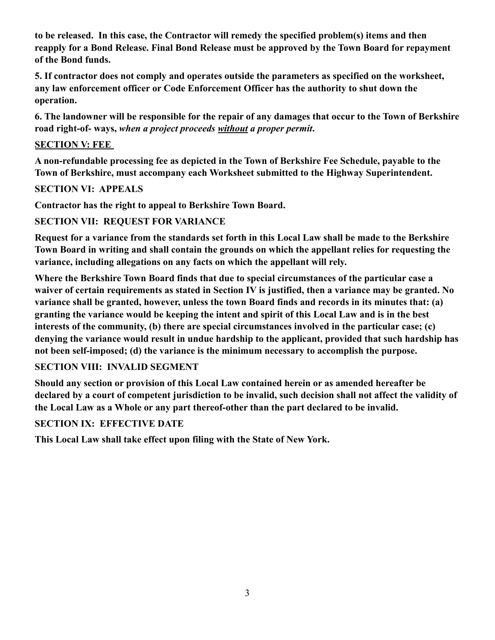**to be released. In this case, the Contractor will remedy the specified problem(s) items and then reapply for a Bond Release. Final Bond Release must be approved by the Town Board for repayment of the Bond funds.** 

**5. If contractor does not comply and operates outside the parameters as specified on the worksheet, any law enforcement officer or Code Enforcement Officer has the authority to shut down the operation.** 

**6. The landowner will be responsible for the repair of any damages that occur to the Town of Berkshire road right-of- ways,** *when a project proceeds without a proper permit***.** 

#### **SECTION V: FEE**

**A non-refundable processing fee as depicted in the Town of Berkshire Fee Schedule, payable to the Town of Berkshire, must accompany each Worksheet submitted to the Highway Superintendent.** 

#### **SECTION VI: APPEALS**

**Contractor has the right to appeal to Berkshire Town Board.** 

## **SECTION VII: REQUEST FOR VARIANCE**

**Request for a variance from the standards set forth in this Local Law shall be made to the Berkshire Town Board in writing and shall contain the grounds on which the appellant relies for requesting the variance, including allegations on any facts on which the appellant will rely.** 

**Where the Berkshire Town Board finds that due to special circumstances of the particular case a waiver of certain requirements as stated in Section IV is justified, then a variance may be granted. No variance shall be granted, however, unless the town Board finds and records in its minutes that: (a) granting the variance would be keeping the intent and spirit of this Local Law and is in the best interests of the community, (b) there are special circumstances involved in the particular case; (c) denying the variance would result in undue hardship to the applicant, provided that such hardship has not been self-imposed; (d) the variance is the minimum necessary to accomplish the purpose.** 

## **SECTION VIII: INVALID SEGMENT**

**Should any section or provision of this Local Law contained herein or as amended hereafter be declared by a court of competent jurisdiction to be invalid, such decision shall not affect the validity of the Local Law as a Whole or any part thereof-other than the part declared to be invalid.** 

## **SECTION IX: EFFECTIVE DATE**

**This Local Law shall take effect upon filing with the State of New York.**